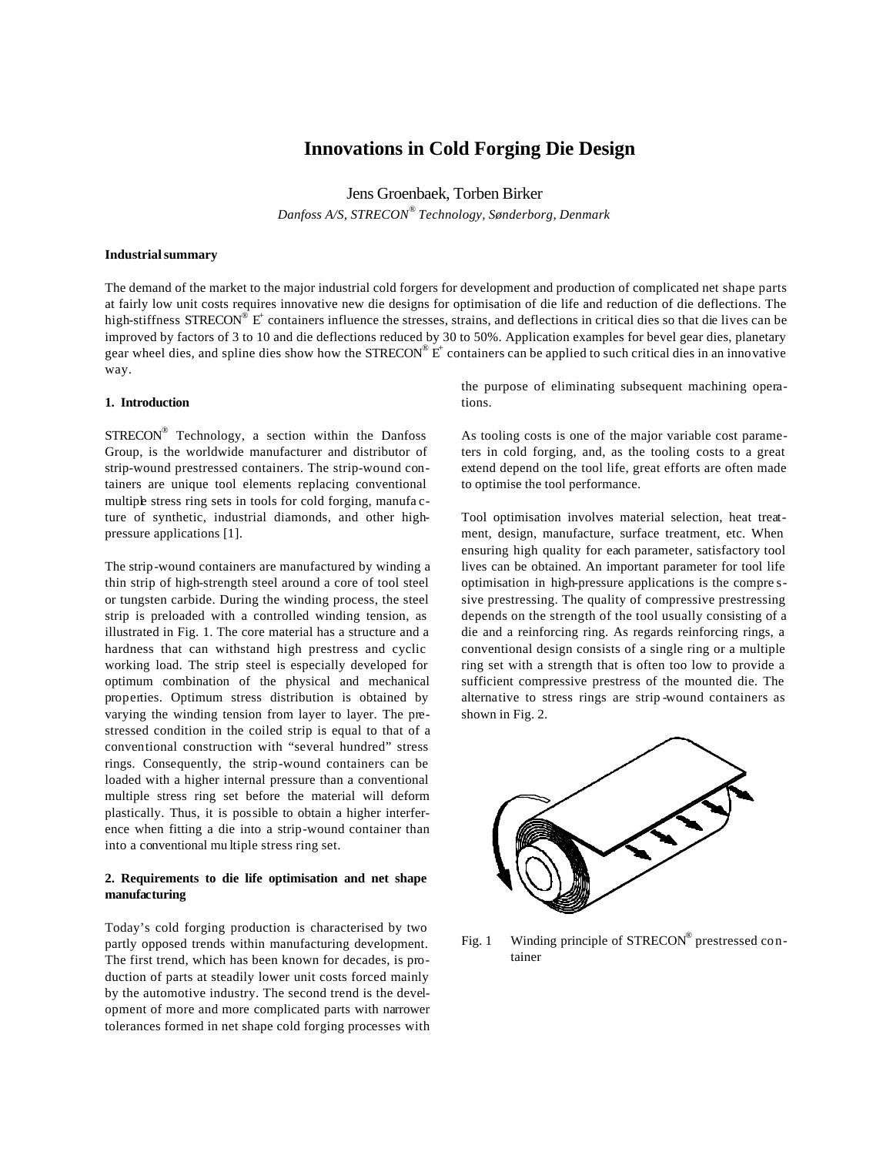# **Innovations in Cold Forging Die Design**

Jens Groenbaek, Torben Birker

*Danfoss A/S, STRECON® Technology, Sønderborg, Denmark*

#### **Industrial summary**

The demand of the market to the major industrial cold forgers for development and production of complicated net shape parts at fairly low unit costs requires innovative new die designs for optimisation of die life and reduction of die deflections. The high-stiffness  $\text{STRECON}^{\circledast}$  E<sup>+</sup> containers influence the stresses, strains, and deflections in critical dies so that die lives can be improved by factors of 3 to 10 and die deflections reduced by 30 to 50%. Application examples for bevel gear dies, planetary gear wheel dies, and spline dies show how the STRECON®  $E^+$  containers can be applied to such critical dies in an innovative way.

#### **1. Introduction**

 $STRECON^{\circledast}$  Technology, a section within the Danfoss Group, is the worldwide manufacturer and distributor of strip-wound prestressed containers. The strip-wound containers are unique tool elements replacing conventional multiple stress ring sets in tools for cold forging, manufa cture of synthetic, industrial diamonds, and other highpressure applications [1].

The strip-wound containers are manufactured by winding a thin strip of high-strength steel around a core of tool steel or tungsten carbide. During the winding process, the steel strip is preloaded with a controlled winding tension, as illustrated in Fig. 1. The core material has a structure and a hardness that can withstand high prestress and cyclic working load. The strip steel is especially developed for optimum combination of the physical and mechanical properties. Optimum stress distribution is obtained by varying the winding tension from layer to layer. The prestressed condition in the coiled strip is equal to that of a conventional construction with "several hundred" stress rings. Consequently, the strip-wound containers can be loaded with a higher internal pressure than a conventional multiple stress ring set before the material will deform plastically. Thus, it is possible to obtain a higher interference when fitting a die into a strip-wound container than into a conventional mu ltiple stress ring set.

# **2. Requirements to die life optimisation and net shape manufacturing**

Today's cold forging production is characterised by two partly opposed trends within manufacturing development. The first trend, which has been known for decades, is production of parts at steadily lower unit costs forced mainly by the automotive industry. The second trend is the development of more and more complicated parts with narrower tolerances formed in net shape cold forging processes with the purpose of eliminating subsequent machining operations.

As tooling costs is one of the major variable cost parameters in cold forging, and, as the tooling costs to a great extend depend on the tool life, great efforts are often made to optimise the tool performance.

Tool optimisation involves material selection, heat treatment, design, manufacture, surface treatment, etc. When ensuring high quality for each parameter, satisfactory tool lives can be obtained. An important parameter for tool life optimisation in high-pressure applications is the compre ssive prestressing. The quality of compressive prestressing depends on the strength of the tool usually consisting of a die and a reinforcing ring. As regards reinforcing rings, a conventional design consists of a single ring or a multiple ring set with a strength that is often too low to provide a sufficient compressive prestress of the mounted die. The alternative to stress rings are strip -wound containers as shown in Fig. 2.



Fig. 1 Winding principle of STRECON® prestressed container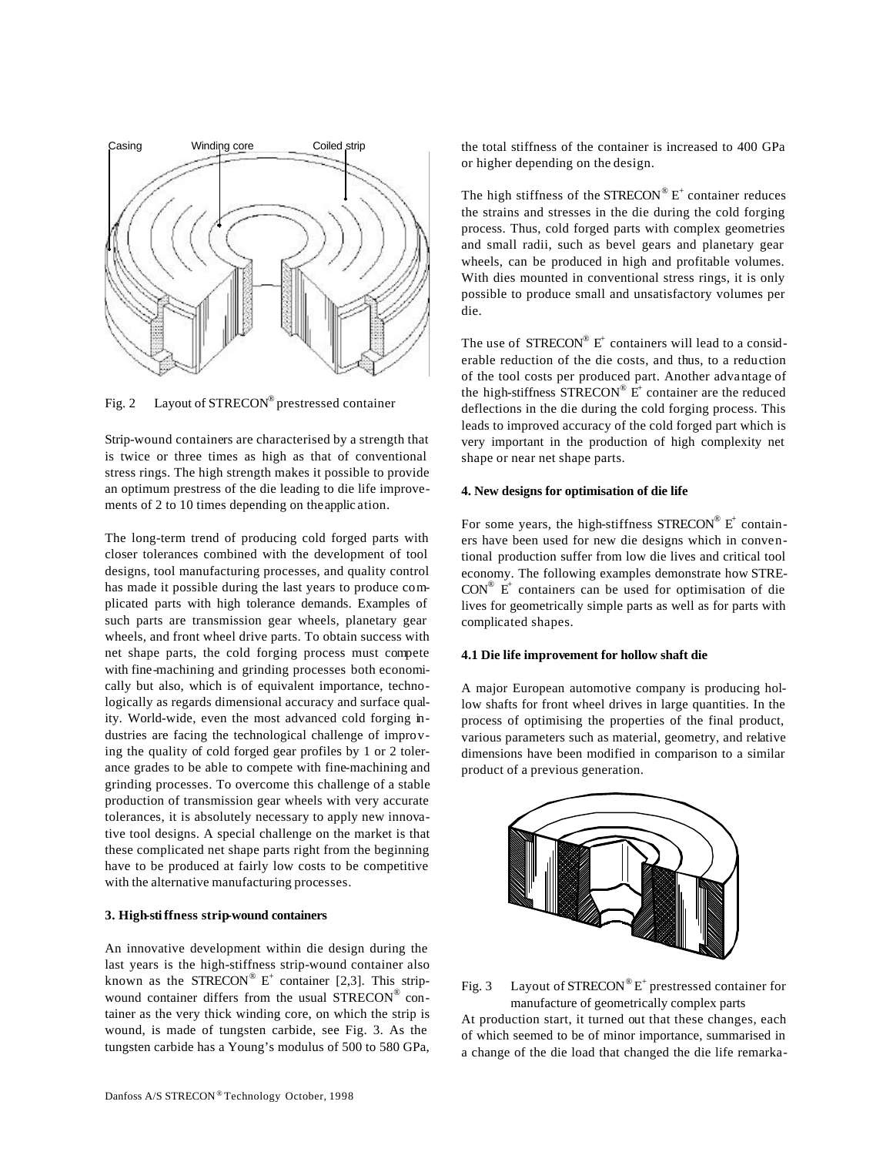

Fig. 2 Layout of STRECON® prestressed container

Strip-wound containers are characterised by a strength that is twice or three times as high as that of conventional stress rings. The high strength makes it possible to provide an optimum prestress of the die leading to die life improvements of 2 to 10 times depending on the applic ation.

The long-term trend of producing cold forged parts with closer tolerances combined with the development of tool designs, tool manufacturing processes, and quality control has made it possible during the last years to produce complicated parts with high tolerance demands. Examples of such parts are transmission gear wheels, planetary gear wheels, and front wheel drive parts. To obtain success with net shape parts, the cold forging process must compete with fine-machining and grinding processes both economically but also, which is of equivalent importance, technologically as regards dimensional accuracy and surface quality. World-wide, even the most advanced cold forging industries are facing the technological challenge of improving the quality of cold forged gear profiles by 1 or 2 tolerance grades to be able to compete with fine-machining and grinding processes. To overcome this challenge of a stable production of transmission gear wheels with very accurate tolerances, it is absolutely necessary to apply new innovative tool designs. A special challenge on the market is that these complicated net shape parts right from the beginning have to be produced at fairly low costs to be competitive with the alternative manufacturing processes.

#### **3. High-stiffness strip-wound containers**

An innovative development within die design during the last years is the high-stiffness strip-wound container also known as the STRECON®  $E^+$  container [2,3]. This stripwound container differs from the usual STRECON® container as the very thick winding core, on which the strip is wound, is made of tungsten carbide, see Fig. 3. As the tungsten carbide has a Young's modulus of 500 to 580 GPa,

The high stiffness of the  $S T RECON^{\circledast} E^{+}$  container reduces the strains and stresses in the die during the cold forging process. Thus, cold forged parts with complex geometries and small radii, such as bevel gears and planetary gear wheels, can be produced in high and profitable volumes. With dies mounted in conventional stress rings, it is only possible to produce small and unsatisfactory volumes per die.

The use of  $\text{STRECON}^{\circledast}$   $E^+$  containers will lead to a considerable reduction of the die costs, and thus, to a reduction of the tool costs per produced part. Another advantage of the high-stiffness  $STRECON^{\circledast}$   $E^+$  container are the reduced deflections in the die during the cold forging process. This leads to improved accuracy of the cold forged part which is very important in the production of high complexity net shape or near net shape parts.

## **4. New designs for optimisation of die life**

For some years, the high-stiffness  $STRECON^{\circledast}E^{+}$  containers have been used for new die designs which in conventional production suffer from low die lives and critical tool economy. The following examples demonstrate how STRE- $CON^{\otimes}$  E<sup>+</sup> containers can be used for optimisation of die lives for geometrically simple parts as well as for parts with complicated shapes.

## **4.1 Die life improvement for hollow shaft die**

A major European automotive company is producing hollow shafts for front wheel drives in large quantities. In the process of optimising the properties of the final product, various parameters such as material, geometry, and relative dimensions have been modified in comparison to a similar product of a previous generation.



Fig. 3 Layout of STRECON® E<sup>+</sup> prestressed container for manufacture of geometrically complex parts

At production start, it turned out that these changes, each of which seemed to be of minor importance, summarised in a change of the die load that changed the die life remarka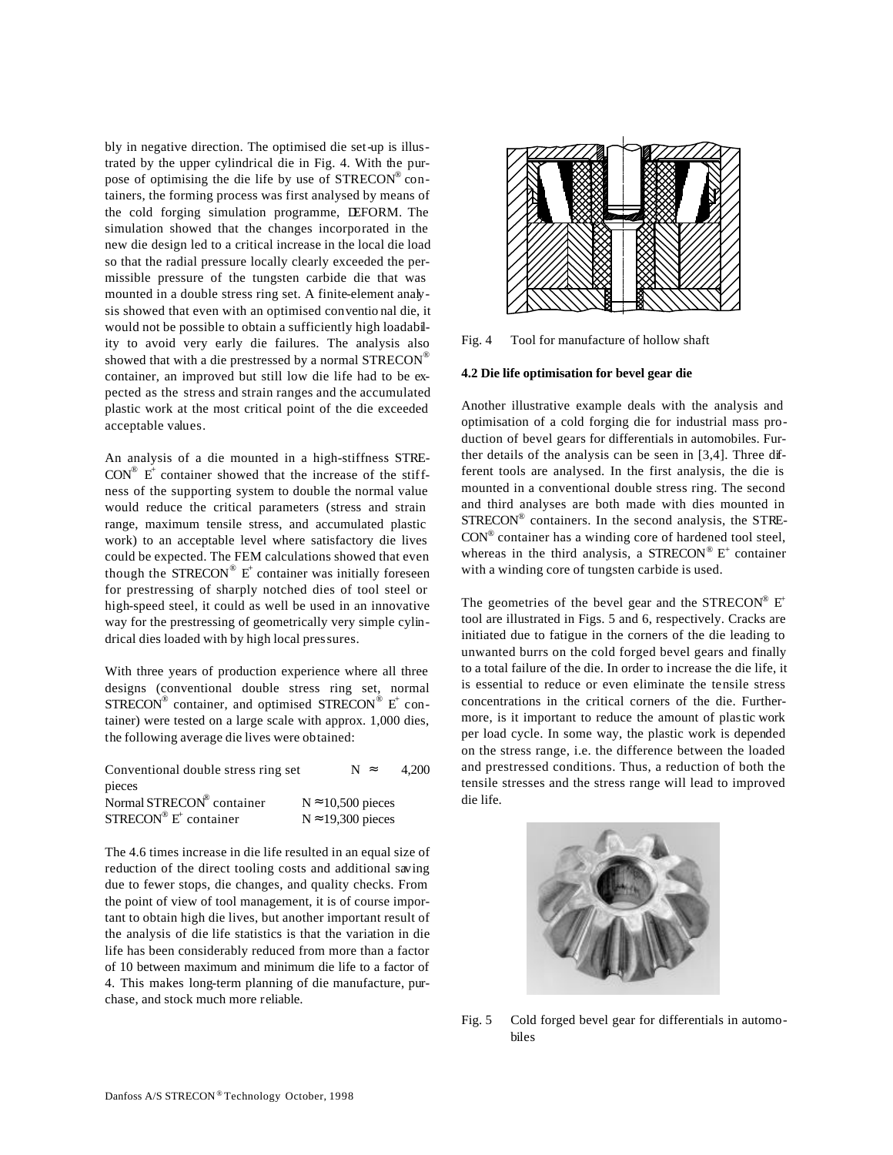bly in negative direction. The optimised die set-up is illustrated by the upper cylindrical die in Fig. 4. With the purpose of optimising the die life by use of STRECON® containers, the forming process was first analysed by means of the cold forging simulation programme, DEFORM. The simulation showed that the changes incorporated in the new die design led to a critical increase in the local die load so that the radial pressure locally clearly exceeded the permissible pressure of the tungsten carbide die that was mounted in a double stress ring set. A finite-element analysis showed that even with an optimised conventio nal die, it would not be possible to obtain a sufficiently high loadability to avoid very early die failures. The analysis also showed that with a die prestressed by a normal STRECON® container, an improved but still low die life had to be expected as the stress and strain ranges and the accumulated plastic work at the most critical point of the die exceeded acceptable values.

An analysis of a die mounted in a high-stiffness STRE- $CON^{\otimes}$  E<sup>+</sup> container showed that the increase of the stiffness of the supporting system to double the normal value would reduce the critical parameters (stress and strain range, maximum tensile stress, and accumulated plastic work) to an acceptable level where satisfactory die lives could be expected. The FEM calculations showed that even though the STRECON®  $E^+$  container was initially foreseen for prestressing of sharply notched dies of tool steel or high-speed steel, it could as well be used in an innovative way for the prestressing of geometrically very simple cylindrical dies loaded with by high local pressures.

With three years of production experience where all three designs (conventional double stress ring set, normal  $\text{STRECON}^{\circledR}$  container, and optimised  $\text{STRECON}^{\circledR}$  E<sup>+</sup> container) were tested on a large scale with approx. 1,000 dies, the following average die lives were obtained:

| Conventional double stress ring set            |                           | $N \approx$ | 4.200 |
|------------------------------------------------|---------------------------|-------------|-------|
| pieces                                         |                           |             |       |
| Normal STRECON <sup>®</sup> container          | $N \approx 10,500$ pieces |             |       |
| $STRECON^{\circledR}$ E <sup>+</sup> container | $N \approx 19,300$ pieces |             |       |

The 4.6 times increase in die life resulted in an equal size of reduction of the direct tooling costs and additional saving due to fewer stops, die changes, and quality checks. From the point of view of tool management, it is of course important to obtain high die lives, but another important result of the analysis of die life statistics is that the variation in die life has been considerably reduced from more than a factor of 10 between maximum and minimum die life to a factor of 4. This makes long-term planning of die manufacture, purchase, and stock much more reliable.



Fig. 4 Tool for manufacture of hollow shaft

#### **4.2 Die life optimisation for bevel gear die**

Another illustrative example deals with the analysis and optimisation of a cold forging die for industrial mass production of bevel gears for differentials in automobiles. Further details of the analysis can be seen in [3,4]. Three different tools are analysed. In the first analysis, the die is mounted in a conventional double stress ring. The second and third analyses are both made with dies mounted in STRECON® containers. In the second analysis, the STRE-CON® container has a winding core of hardened tool steel, whereas in the third analysis, a  $STRECON^{\circledast} E^{+}$  container with a winding core of tungsten carbide is used.

The geometries of the bevel gear and the STRECON®  $E^+$ tool are illustrated in Figs. 5 and 6, respectively. Cracks are initiated due to fatigue in the corners of the die leading to unwanted burrs on the cold forged bevel gears and finally to a total failure of the die. In order to increase the die life, it is essential to reduce or even eliminate the tensile stress concentrations in the critical corners of the die. Furthermore, is it important to reduce the amount of plastic work per load cycle. In some way, the plastic work is depended on the stress range, i.e. the difference between the loaded and prestressed conditions. Thus, a reduction of both the tensile stresses and the stress range will lead to improved die life.



Fig. 5 Cold forged bevel gear for differentials in automobiles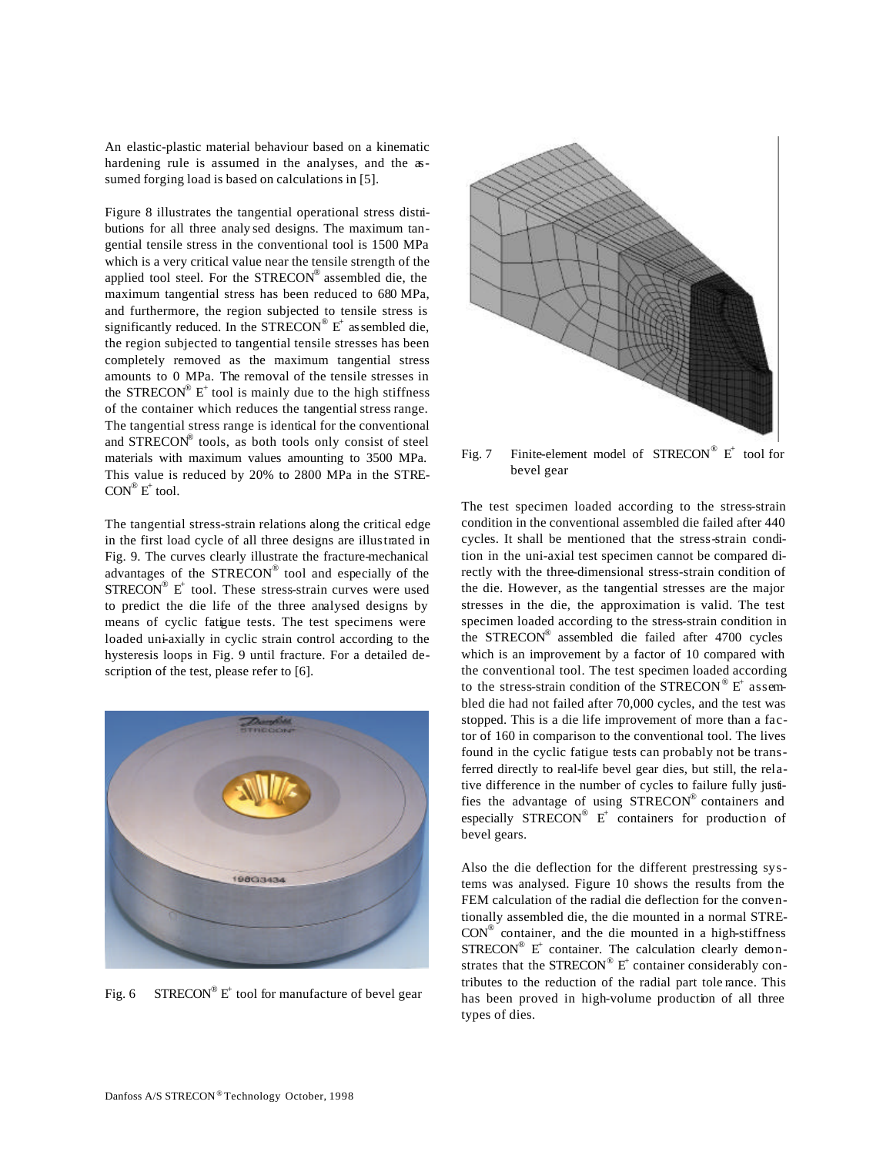An elastic-plastic material behaviour based on a kinematic hardening rule is assumed in the analyses, and the assumed forging load is based on calculations in [5].

Figure 8 illustrates the tangential operational stress distributions for all three analy sed designs. The maximum tangential tensile stress in the conventional tool is 1500 MPa which is a very critical value near the tensile strength of the applied tool steel. For the  $STRECON^{\circledast}$  assembled die, the maximum tangential stress has been reduced to 680 MPa, and furthermore, the region subjected to tensile stress is significantly reduced. In the  $STRECON^{\circledast} E^{+}$  as sembled die, the region subjected to tangential tensile stresses has been completely removed as the maximum tangential stress amounts to 0 MPa. The removal of the tensile stresses in the STRECON<sup>®</sup>  $E^+$  tool is mainly due to the high stiffness of the container which reduces the tangential stress range. The tangential stress range is identical for the conventional and STRECON® tools, as both tools only consist of steel materials with maximum values amounting to 3500 MPa. This value is reduced by 20% to 2800 MPa in the STRE- $CON^{\circledR}$   $E^+$  tool.

The tangential stress-strain relations along the critical edge in the first load cycle of all three designs are illustrated in Fig. 9. The curves clearly illustrate the fracture-mechanical advantages of the STRECON® tool and especially of the  $STRECON^{\circledast}$  E<sup>+</sup> tool. These stress-strain curves were used to predict the die life of the three analysed designs by means of cyclic fatigue tests. The test specimens were loaded uni-axially in cyclic strain control according to the hysteresis loops in Fig. 9 until fracture. For a detailed description of the test, please refer to [6].



Fig. 6 STRECON<sup>®</sup> E<sup>+</sup> tool for manufacture of bevel gear



Fig. 7 Finite-element model of  $STRECON^{\circledR}$  E<sup>+</sup> tool for bevel gear

The test specimen loaded according to the stress-strain condition in the conventional assembled die failed after 440 cycles. It shall be mentioned that the stress-strain condition in the uni-axial test specimen cannot be compared directly with the three-dimensional stress-strain condition of the die. However, as the tangential stresses are the major stresses in the die, the approximation is valid. The test specimen loaded according to the stress-strain condition in the STRECON® assembled die failed after 4700 cycles which is an improvement by a factor of 10 compared with the conventional tool. The test specimen loaded according to the stress-strain condition of the  $\mathrm{STRECON}^{\circledR}$  E<sup>+</sup> assembled die had not failed after 70,000 cycles, and the test was stopped. This is a die life improvement of more than a factor of 160 in comparison to the conventional tool. The lives found in the cyclic fatigue tests can probably not be transferred directly to real-life bevel gear dies, but still, the relative difference in the number of cycles to failure fully justifies the advantage of using STRECON® containers and especially  $\text{STRECON}^{\circledast}$   $E^+$  containers for production of bevel gears.

Also the die deflection for the different prestressing systems was analysed. Figure 10 shows the results from the FEM calculation of the radial die deflection for the conventionally assembled die, the die mounted in a normal STRE- $CON^{\circledast}$  container, and the die mounted in a high-stiffness  $STRECON^{\circledR}$  E<sup>+</sup> container. The calculation clearly demonstrates that the STRECON®  $E^+$  container considerably contributes to the reduction of the radial part tole rance. This has been proved in high-volume production of all three types of dies.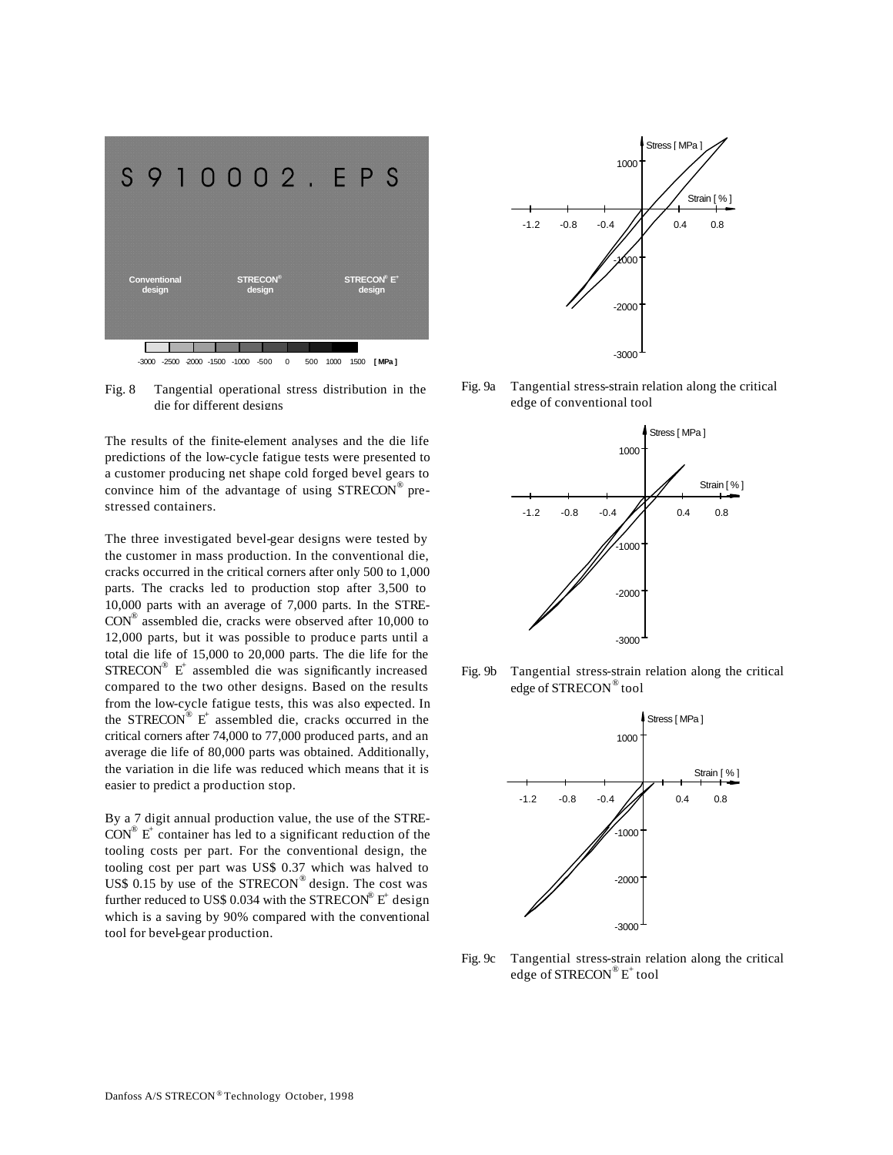

Fig. 8 Tangential operational stress distribution in the die for different designs

The results of the finite-element analyses and the die life predictions of the low-cycle fatigue tests were presented to a customer producing net shape cold forged bevel gears to convince him of the advantage of using STRECON® prestressed containers.

The three investigated bevel-gear designs were tested by the customer in mass production. In the conventional die, cracks occurred in the critical corners after only 500 to 1,000 parts. The cracks led to production stop after 3,500 to 10,000 parts with an average of 7,000 parts. In the STRE-CON® assembled die, cracks were observed after 10,000 to 12,000 parts, but it was possible to produce parts until a total die life of 15,000 to 20,000 parts. The die life for the  $STRECON^{\circledast}$  E<sup>+</sup> assembled die was significantly increased compared to the two other designs. Based on the results from the low-cycle fatigue tests, this was also expected. In the STRECON®  $E^+$  assembled die, cracks occurred in the critical corners after 74,000 to 77,000 produced parts, and an average die life of 80,000 parts was obtained. Additionally, the variation in die life was reduced which means that it is easier to predict a production stop.

By a 7 digit annual production value, the use of the STRE- $CON^{\circledR}$  E<sup>+</sup> container has led to a significant reduction of the tooling costs per part. For the conventional design, the tooling cost per part was US\$ 0.37 which was halved to US\$ 0.15 by use of the  $STRECON^{\circledR}$  design. The cost was further reduced to US\$ 0.034 with the STRECON®  $E^+$  design which is a saving by 90% compared with the conventional tool for bevel-gear production.



Fig. 9a Tangential stress-strain relation along the critical edge of conventional tool



Fig. 9b Tangential stress-strain relation along the critical edge of STRECON® tool



Fig. 9c Tangential stress-strain relation along the critical edge of  $\mathrm{STRECON}^{\circledR}\mathrm{E}^+$  tool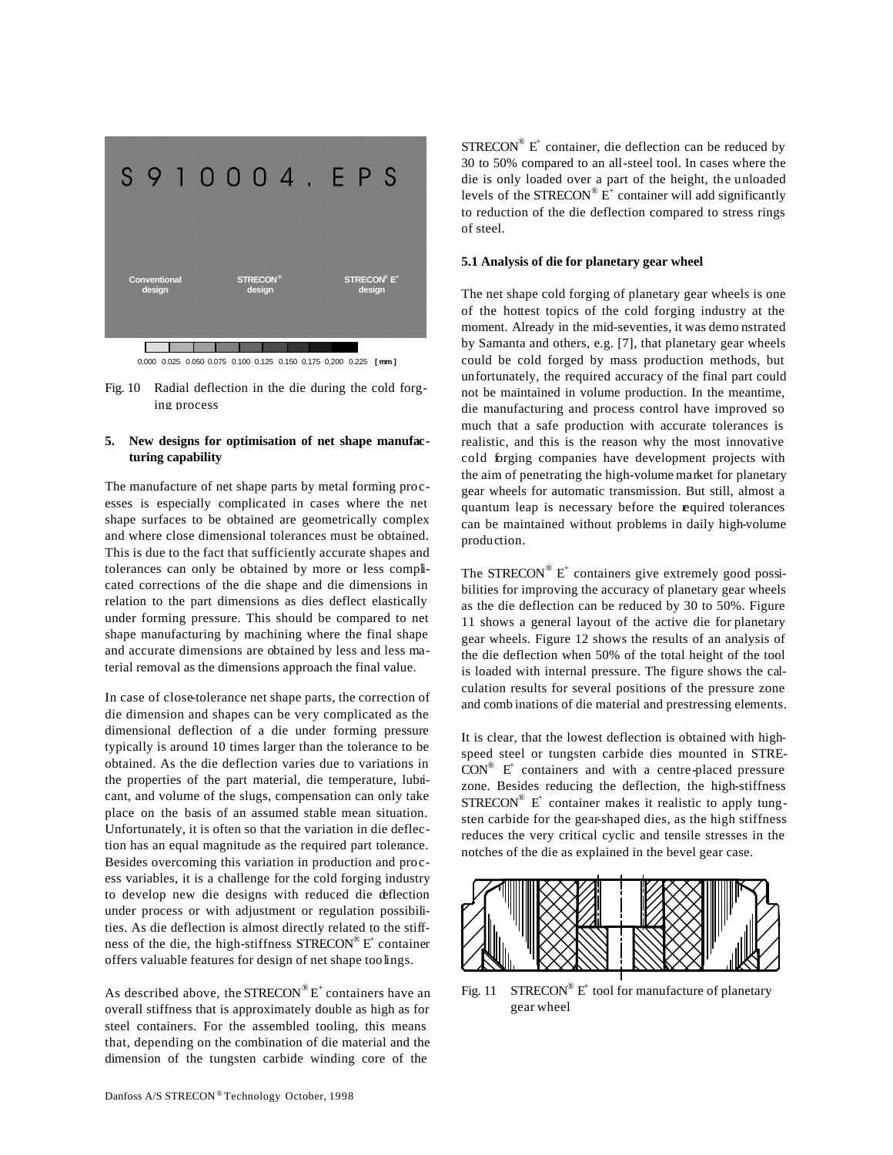

0.000 0.025 0.050 0.075 0.100 0.125 0.150 0.175 0.200 0.225 **[ mm ]**

Fig. 10 Radial deflection in the die during the cold forging process

# **5. New designs for optimisation of net shape manufacturing capability**

The manufacture of net shape parts by metal forming processes is especially complicated in cases where the net shape surfaces to be obtained are geometrically complex and where close dimensional tolerances must be obtained. This is due to the fact that sufficiently accurate shapes and tolerances can only be obtained by more or less complicated corrections of the die shape and die dimensions in relation to the part dimensions as dies deflect elastically under forming pressure. This should be compared to net shape manufacturing by machining where the final shape and accurate dimensions are obtained by less and less material removal as the dimensions approach the final value.

In case of close-tolerance net shape parts, the correction of die dimension and shapes can be very complicated as the dimensional deflection of a die under forming pressure typically is around 10 times larger than the tolerance to be obtained. As the die deflection varies due to variations in the properties of the part material, die temperature, lubricant, and volume of the slugs, compensation can only take place on the basis of an assumed stable mean situation. Unfortunately, it is often so that the variation in die deflection has an equal magnitude as the required part tolerance. Besides overcoming this variation in production and process variables, it is a challenge for the cold forging industry to develop new die designs with reduced die deflection under process or with adjustment or regulation possibilities. As die deflection is almost directly related to the stiffness of the die, the high-stiffness  $S$ TRECON® E<sup>+</sup> container offers valuable features for design of net shape toolings.

As described above, the STRECON $^{\circledR}E^+$  containers have an overall stiffness that is approximately double as high as for steel containers. For the assembled tooling, this means that, depending on the combination of die material and the dimension of the tungsten carbide winding core of the

STRECON<sup>®</sup> E<sup>+</sup> container, die deflection can be reduced by 30 to 50% compared to an all-steel tool. In cases where the die is only loaded over a part of the height, the unloaded levels of the STRECON<sup>®</sup>  $E^+$  container will add significantly to reduction of the die deflection compared to stress rings of steel.

#### **5.1 Analysis of die for planetary gear wheel**

The net shape cold forging of planetary gear wheels is one of the hottest topics of the cold forging industry at the moment. Already in the mid-seventies, it was demo nstrated by Samanta and others, e.g. [7], that planetary gear wheels could be cold forged by mass production methods, but unfortunately, the required accuracy of the final part could not be maintained in volume production. In the meantime, die manufacturing and process control have improved so much that a safe production with accurate tolerances is realistic, and this is the reason why the most innovative cold forging companies have development projects with the aim of penetrating the high-volume market for planetary gear wheels for automatic transmission. But still, almost a quantum leap is necessary before the required tolerances can be maintained without problems in daily high-volume production.

The STRECON®  $E^+$  containers give extremely good possibilities for improving the accuracy of planetary gear wheels as the die deflection can be reduced by 30 to 50%. Figure 11 shows a general layout of the active die for planetary gear wheels. Figure 12 shows the results of an analysis of the die deflection when 50% of the total height of the tool is loaded with internal pressure. The figure shows the calculation results for several positions of the pressure zone and comb inations of die material and prestressing elements.

It is clear, that the lowest deflection is obtained with highspeed steel or tungsten carbide dies mounted in STRE- $CON^{\otimes}$  E<sup>+</sup> containers and with a centre-placed pressure zone. Besides reducing the deflection, the high-stiffness STRECON®  $E^+$  container makes it realistic to apply tungsten carbide for the gear-shaped dies, as the high stiffness reduces the very critical cyclic and tensile stresses in the notches of the die as explained in the bevel gear case.



Fig. 11 STRECON®  $E^+$  tool for manufacture of planetary gear wheel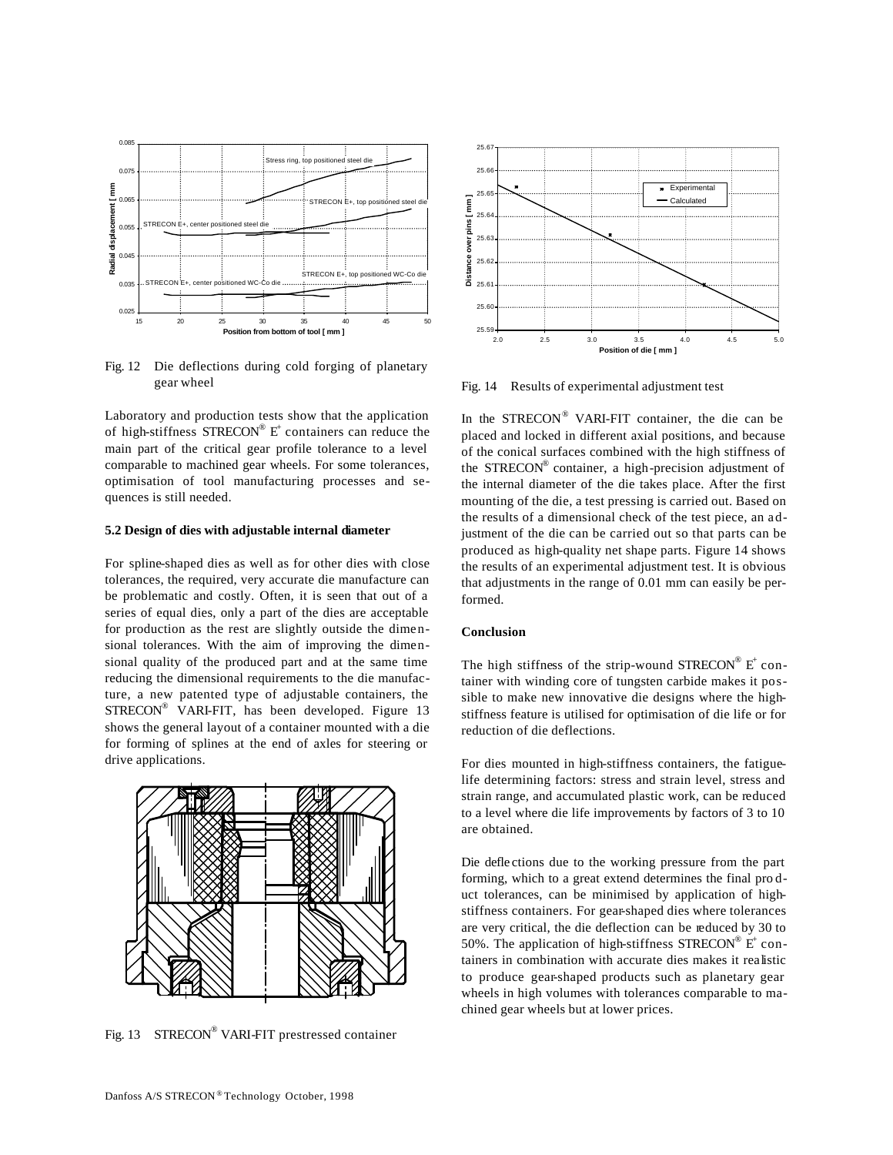

Fig. 12 Die deflections during cold forging of planetary gear wheel

Laboratory and production tests show that the application of high-stiffness  $STRECON^{\circledast}$  E<sup>+</sup> containers can reduce the main part of the critical gear profile tolerance to a level comparable to machined gear wheels. For some tolerances, optimisation of tool manufacturing processes and sequences is still needed.

#### **5.2 Design of dies with adjustable internal diameter**

For spline-shaped dies as well as for other dies with close tolerances, the required, very accurate die manufacture can be problematic and costly. Often, it is seen that out of a series of equal dies, only a part of the dies are acceptable for production as the rest are slightly outside the dimensional tolerances. With the aim of improving the dimensional quality of the produced part and at the same time reducing the dimensional requirements to the die manufacture, a new patented type of adjustable containers, the STRECON<sup>®</sup> VARI-FIT, has been developed. Figure 13 shows the general layout of a container mounted with a die for forming of splines at the end of axles for steering or drive applications.



Fig. 13 STRECON® VARI-FIT prestressed container



Fig. 14 Results of experimental adjustment test

In the STRECON® VARI-FIT container, the die can be placed and locked in different axial positions, and because of the conical surfaces combined with the high stiffness of the STRECON® container, a high-precision adjustment of the internal diameter of the die takes place. After the first mounting of the die, a test pressing is carried out. Based on the results of a dimensional check of the test piece, an adjustment of the die can be carried out so that parts can be produced as high-quality net shape parts. Figure 14 shows the results of an experimental adjustment test. It is obvious that adjustments in the range of 0.01 mm can easily be performed.

# **Conclusion**

The high stiffness of the strip-wound  $\mathrm{STRECON}^{\circledR}$  E<sup>+</sup> container with winding core of tungsten carbide makes it possible to make new innovative die designs where the highstiffness feature is utilised for optimisation of die life or for reduction of die deflections.

For dies mounted in high-stiffness containers, the fatiguelife determining factors: stress and strain level, stress and strain range, and accumulated plastic work, can be reduced to a level where die life improvements by factors of 3 to 10 are obtained.

Die defle ctions due to the working pressure from the part forming, which to a great extend determines the final pro duct tolerances, can be minimised by application of highstiffness containers. For gear-shaped dies where tolerances are very critical, the die deflection can be reduced by 30 to 50%. The application of high-stiffness  $STRECON^{\circledR}$  E<sup>+</sup> containers in combination with accurate dies makes it realistic to produce gear-shaped products such as planetary gear wheels in high volumes with tolerances comparable to machined gear wheels but at lower prices.